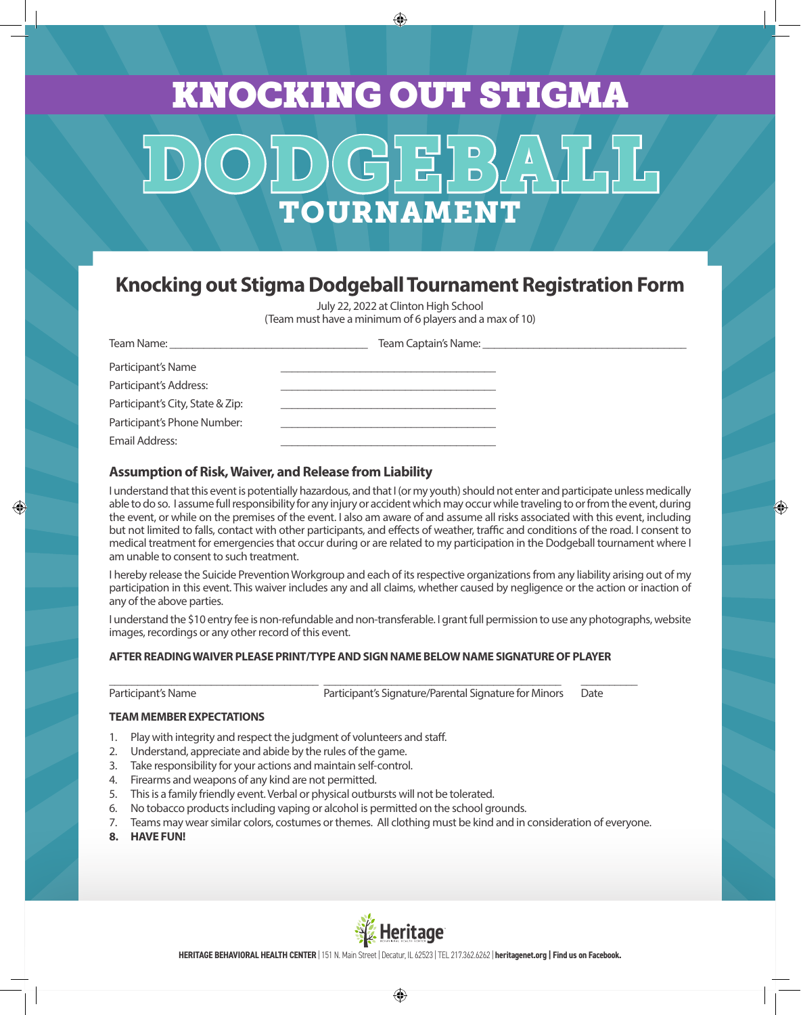# DODGEBALL TOURNAMENT KNOCKING OUT STIGMA

◈

### **Knocking out Stigma Dodgeball Tournament Registration Form**

July 22, 2022 at Clinton High School (Team must have a minimum of 6 players and a max of 10)

| Team Name: The contract of the contract of the contract of the contract of the contract of the contract of the contract of the contract of the contract of the contract of the contract of the contract of the contract of the |  |
|--------------------------------------------------------------------------------------------------------------------------------------------------------------------------------------------------------------------------------|--|
| Participant's Name                                                                                                                                                                                                             |  |
| Participant's Address:                                                                                                                                                                                                         |  |
| Participant's City, State & Zip:                                                                                                                                                                                               |  |
| Participant's Phone Number:                                                                                                                                                                                                    |  |
| Email Address:                                                                                                                                                                                                                 |  |

#### **Assumption of Risk, Waiver, and Release from Liability**

I understand that this event is potentially hazardous, and that I (or my youth) should not enter and participate unless medically able to do so. I assume full responsibility for any injury or accident which may occur while traveling to or from the event, during the event, or while on the premises of the event. I also am aware of and assume all risks associated with this event, including but not limited to falls, contact with other participants, and effects of weather, traffic and conditions of the road. I consent to medical treatment for emergencies that occur during or are related to my participation in the Dodgeball tournament where I am unable to consent to such treatment.

I hereby release the Suicide Prevention Workgroup and each of its respective organizations from any liability arising out of my participation in this event. This waiver includes any and all claims, whether caused by negligence or the action or inaction of any of the above parties.

I understand the \$10 entry fee is non-refundable and non-transferable. I grant full permission to use any photographs, website images, recordings or any other record of this event.

#### **AFTER READING WAIVER PLEASE PRINT/TYPE AND SIGN NAME BELOW NAME SIGNATURE OF PLAYER**

\_\_\_\_\_\_\_\_\_\_\_\_\_\_\_\_\_\_\_\_\_\_\_\_\_\_\_\_\_\_\_\_\_\_\_\_\_ \_\_\_\_\_\_\_\_\_\_\_\_\_\_\_\_\_\_\_\_\_\_\_\_\_\_\_\_\_\_\_\_\_\_\_\_\_\_\_\_\_\_ \_\_\_\_\_\_\_\_\_\_

 $\bigoplus$ 

Participant's Name **Participant's Signature/Parental Signature for Minors** Date

⊕

**TEAM MEMBER EXPECTATIONS**

- 1. Play with integrity and respect the judgment of volunteers and staff.
- 2. Understand, appreciate and abide by the rules of the game.
- 3. Take responsibility for your actions and maintain self-control.
- 4. Firearms and weapons of any kind are not permitted.
- 5. This is a family friendly event. Verbal or physical outbursts will not be tolerated.
- 6. No tobacco products including vaping or alcohol is permitted on the school grounds.
- 7. Teams may wear similar colors, costumes or themes. All clothing must be kind and in consideration of everyone.
- **8. HAVE FUN!**



**HERITAGE BEHAVIORAL HEALTH CENTER** | 151 N. Main Street | Decatur, IL 62523 | TEL 217.362.6262 | **heritagenet.org | Find us on Facebook.**

⊕